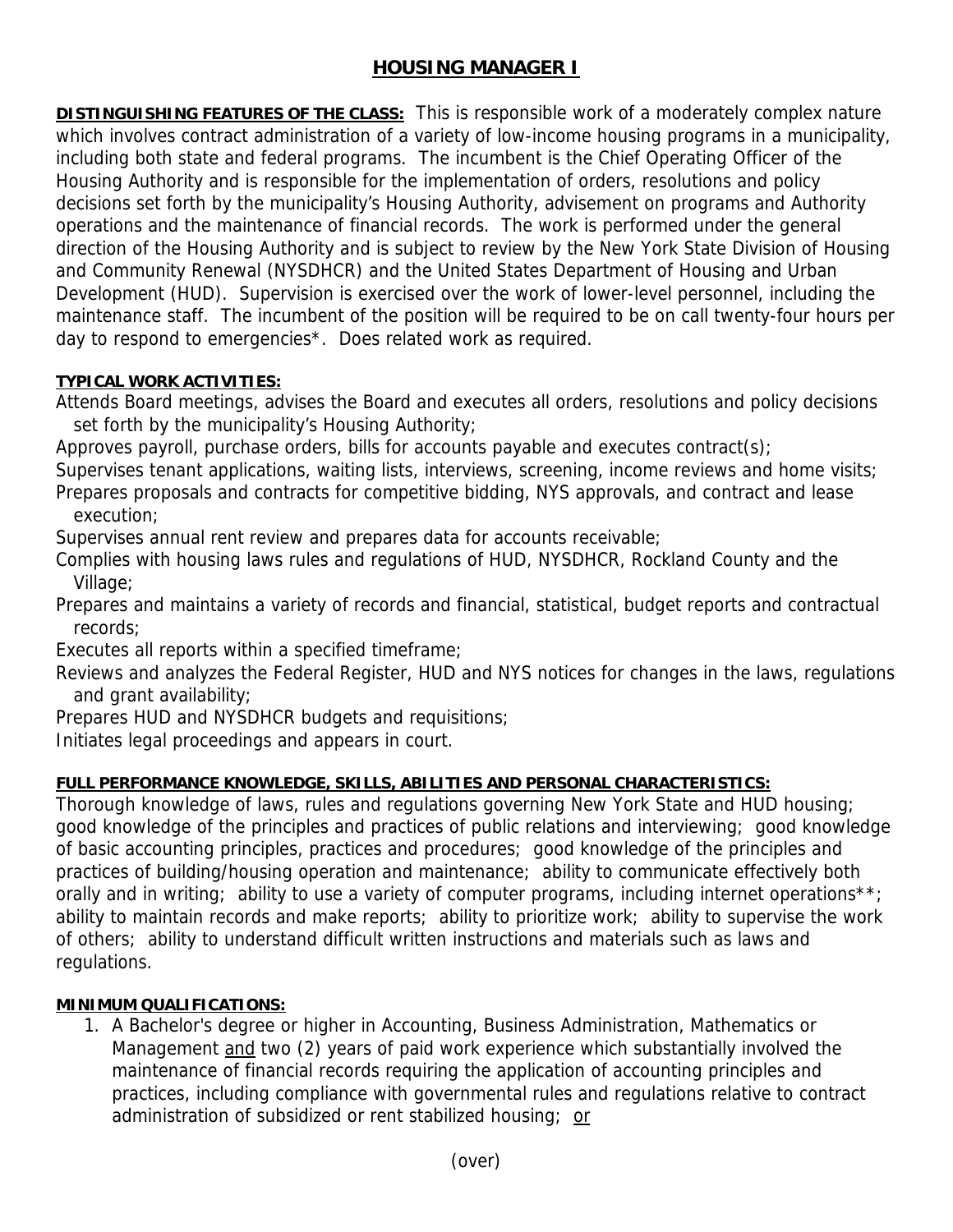# **HOUSING MANAGER I**

**DISTINGUISHING FEATURES OF THE CLASS:** This is responsible work of a moderately complex nature which involves contract administration of a variety of low-income housing programs in a municipality, including both state and federal programs. The incumbent is the Chief Operating Officer of the Housing Authority and is responsible for the implementation of orders, resolutions and policy decisions set forth by the municipality's Housing Authority, advisement on programs and Authority operations and the maintenance of financial records. The work is performed under the general direction of the Housing Authority and is subject to review by the New York State Division of Housing and Community Renewal (NYSDHCR) and the United States Department of Housing and Urban Development (HUD). Supervision is exercised over the work of lower-level personnel, including the maintenance staff. The incumbent of the position will be required to be on call twenty-four hours per day to respond to emergencies\*. Does related work as required.

## **TYPICAL WORK ACTIVITIES:**

Attends Board meetings, advises the Board and executes all orders, resolutions and policy decisions set forth by the municipality's Housing Authority;

Approves payroll, purchase orders, bills for accounts payable and executes contract(s);

Supervises tenant applications, waiting lists, interviews, screening, income reviews and home visits; Prepares proposals and contracts for competitive bidding, NYS approvals, and contract and lease execution;

Supervises annual rent review and prepares data for accounts receivable;

Complies with housing laws rules and regulations of HUD, NYSDHCR, Rockland County and the Village;

Prepares and maintains a variety of records and financial, statistical, budget reports and contractual records;

Executes all reports within a specified timeframe;

Reviews and analyzes the Federal Register, HUD and NYS notices for changes in the laws, regulations and grant availability;

Prepares HUD and NYSDHCR budgets and requisitions;

Initiates legal proceedings and appears in court.

## **FULL PERFORMANCE KNOWLEDGE, SKILLS, ABILITIES AND PERSONAL CHARACTERISTICS:**

Thorough knowledge of laws, rules and regulations governing New York State and HUD housing; good knowledge of the principles and practices of public relations and interviewing; good knowledge of basic accounting principles, practices and procedures; good knowledge of the principles and practices of building/housing operation and maintenance; ability to communicate effectively both orally and in writing; ability to use a variety of computer programs, including internet operations\*\*; ability to maintain records and make reports; ability to prioritize work; ability to supervise the work of others; ability to understand difficult written instructions and materials such as laws and regulations.

## **MINIMUM QUALIFICATIONS:**

1. A Bachelor's degree or higher in Accounting, Business Administration, Mathematics or Management and two (2) years of paid work experience which substantially involved the maintenance of financial records requiring the application of accounting principles and practices, including compliance with governmental rules and regulations relative to contract administration of subsidized or rent stabilized housing; or